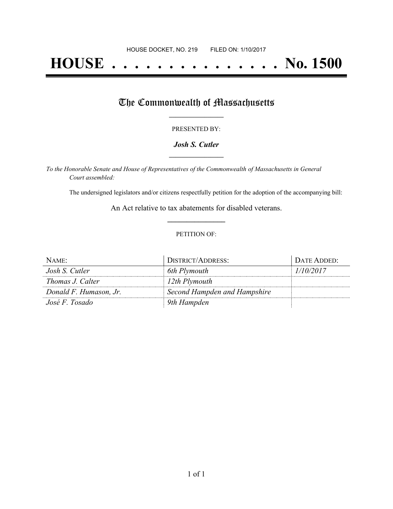# **HOUSE . . . . . . . . . . . . . . . No. 1500**

## The Commonwealth of Massachusetts

#### PRESENTED BY:

#### *Josh S. Cutler* **\_\_\_\_\_\_\_\_\_\_\_\_\_\_\_\_\_**

*To the Honorable Senate and House of Representatives of the Commonwealth of Massachusetts in General Court assembled:*

The undersigned legislators and/or citizens respectfully petition for the adoption of the accompanying bill:

An Act relative to tax abatements for disabled veterans. **\_\_\_\_\_\_\_\_\_\_\_\_\_\_\_**

#### PETITION OF:

| NAME:                  | DISTRICT/ADDRESS:            | DATE ADDED: |
|------------------------|------------------------------|-------------|
| Josh S. Cutler         | 6th Plymouth                 | 1/10/2017   |
| Thomas J. Calter       | 12th Plymouth                |             |
| Donald F. Humason, Jr. | Second Hampden and Hampshire |             |
| José F. Tosado         | 9th Hampden                  |             |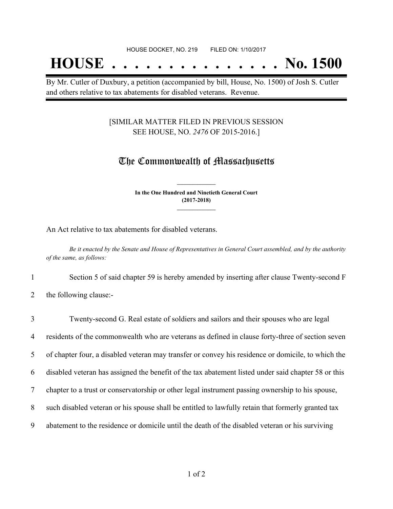## **HOUSE . . . . . . . . . . . . . . . No. 1500**

By Mr. Cutler of Duxbury, a petition (accompanied by bill, House, No. 1500) of Josh S. Cutler and others relative to tax abatements for disabled veterans. Revenue.

### [SIMILAR MATTER FILED IN PREVIOUS SESSION SEE HOUSE, NO. *2476* OF 2015-2016.]

### The Commonwealth of Massachusetts

**In the One Hundred and Ninetieth General Court (2017-2018) \_\_\_\_\_\_\_\_\_\_\_\_\_\_\_**

**\_\_\_\_\_\_\_\_\_\_\_\_\_\_\_**

An Act relative to tax abatements for disabled veterans.

Be it enacted by the Senate and House of Representatives in General Court assembled, and by the authority *of the same, as follows:*

1 Section 5 of said chapter 59 is hereby amended by inserting after clause Twenty-second F

2 the following clause:-

| $\overline{3}$ | Twenty-second G. Real estate of soldiers and sailors and their spouses who are legal                |
|----------------|-----------------------------------------------------------------------------------------------------|
| $\overline{4}$ | residents of the commonwealth who are veterans as defined in clause forty-three of section seven    |
| 5              | of chapter four, a disabled veteran may transfer or convey his residence or domicile, to which the  |
| 6              | disabled veteran has assigned the benefit of the tax abatement listed under said chapter 58 or this |
| $\tau$         | chapter to a trust or conservatorship or other legal instrument passing ownership to his spouse,    |
| 8              | such disabled veteran or his spouse shall be entitled to lawfully retain that formerly granted tax  |
| 9              | abatement to the residence or domicile until the death of the disabled veteran or his surviving     |